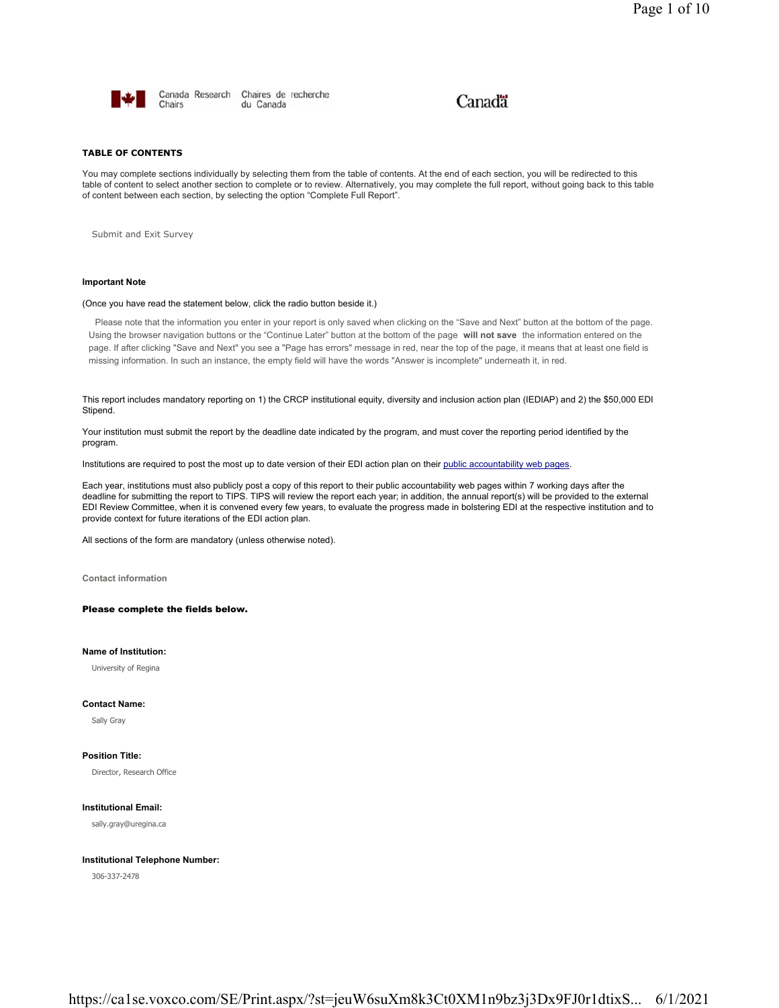

Canada Research Chaires de recherche Chairs du Canada

# Canadä

### **TABLE OF CONTENTS**

You may complete sections individually by selecting them from the table of contents. At the end of each section, you will be redirected to this table of content to select another section to complete or to review. Alternatively, you may complete the full report, without going back to this table of content between each section, by selecting the option "Complete Full Report".

Submit and Exit Survey

# **Important Note**

### (Once you have read the statement below, click the radio button beside it.)

Please note that the information you enter in your report is only saved when clicking on the "Save and Next" button at the bottom of the page. Using the browser navigation buttons or the "Continue Later" button at the bottom of the page **will not save** the information entered on the page. If after clicking "Save and Next" you see a "Page has errors" message in red, near the top of the page, it means that at least one field is missing information. In such an instance, the empty field will have the words "Answer is incomplete" underneath it, in red.

This report includes mandatory reporting on 1) the CRCP institutional equity, diversity and inclusion action plan (IEDIAP) and 2) the \$50,000 EDI Stipend.

Your institution must submit the report by the deadline date indicated by the program, and must cover the reporting period identified by the program.

Institutions are required to post the most up to date version of their EDI action plan on their public accountability web pages.

Each year, institutions must also publicly post a copy of this report to their public accountability web pages within 7 working days after the deadline for submitting the report to TIPS. TIPS will review the report each year; in addition, the annual report(s) will be provided to the external EDI Review Committee, when it is convened every few years, to evaluate the progress made in bolstering EDI at the respective institution and to provide context for future iterations of the EDI action plan.

All sections of the form are mandatory (unless otherwise noted).

**Contact information**

## Please complete the fields below.

# **Name of Institution:**

University of Regina

### **Contact Name:**

Sally Gray

### **Position Title:**

Director, Research Office

# **Institutional Email:**

sally.gray@uregina.ca

### **Institutional Telephone Number:**

306-337-2478

https://ca1se.voxco.com/SE/Print.aspx/?st=jeuW6suXm8k3Ct0XM1n9bz3j3Dx9FJ0r1dtixS... 6/1/2021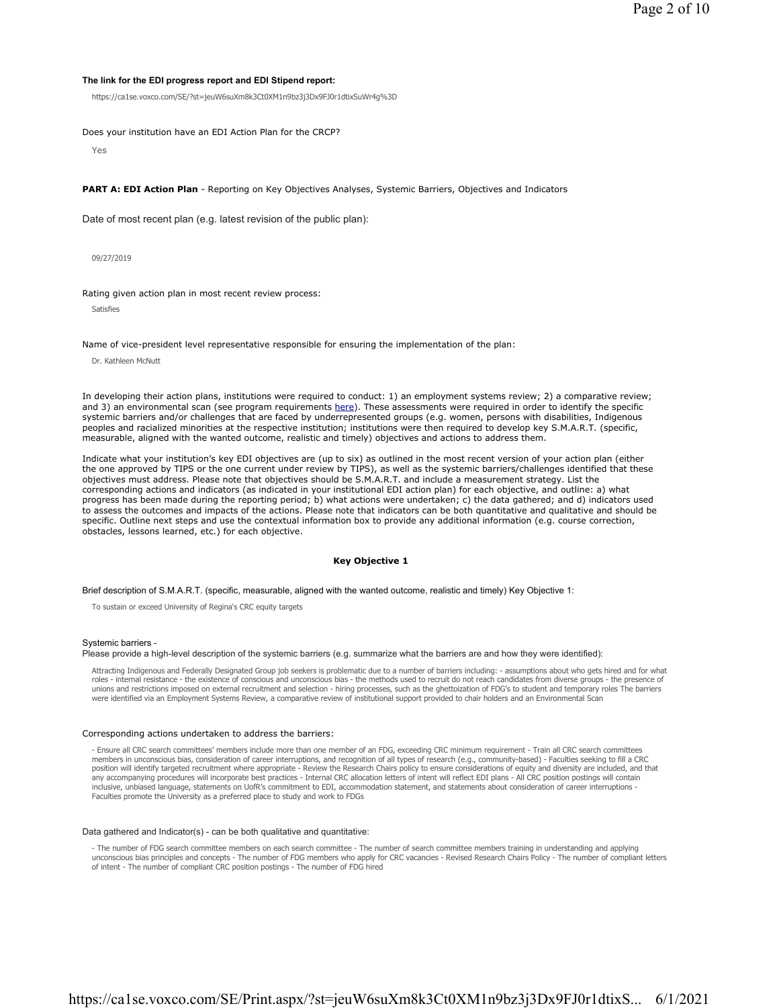### **The link for the EDI progress report and EDI Stipend report:**

https://ca1se.voxco.com/SE/?st=jeuW6suXm8k3Ct0XM1n9bz3j3Dx9FJ0r1dtixSuWr4g%3D

Does your institution have an EDI Action Plan for the CRCP?

Yes

**PART A: EDI Action Plan** - Reporting on Key Objectives Analyses, Systemic Barriers, Objectives and Indicators

Date of most recent plan (e.g. latest revision of the public plan):

09/27/2019

Rating given action plan in most recent review process:

Satisfies

Name of vice-president level representative responsible for ensuring the implementation of the plan:

Dr. Kathleen McNutt

In developing their action plans, institutions were required to conduct: 1) an employment systems review; 2) a comparative review; and 3) an environmental scan (see program requirements here). These assessments were required in order to identify the specific systemic barriers and/or challenges that are faced by underrepresented groups (e.g. women, persons with disabilities, Indigenous peoples and racialized minorities at the respective institution; institutions were then required to develop key S.M.A.R.T. (specific, measurable, aligned with the wanted outcome, realistic and timely) objectives and actions to address them.

Indicate what your institution's key EDI objectives are (up to six) as outlined in the most recent version of your action plan (either the one approved by TIPS or the one current under review by TIPS), as well as the systemic barriers/challenges identified that these objectives must address. Please note that objectives should be S.M.A.R.T. and include a measurement strategy. List the corresponding actions and indicators (as indicated in your institutional EDI action plan) for each objective, and outline: a) what progress has been made during the reporting period; b) what actions were undertaken; c) the data gathered; and d) indicators used to assess the outcomes and impacts of the actions. Please note that indicators can be both quantitative and qualitative and should be specific. Outline next steps and use the contextual information box to provide any additional information (e.g. course correction, obstacles, lessons learned, etc.) for each objective.

## **Key Objective 1**

Brief description of S.M.A.R.T. (specific, measurable, aligned with the wanted outcome, realistic and timely) Key Objective 1:

To sustain or exceed University of Regina's CRC equity targets

#### Systemic barriers -

Please provide a high-level description of the systemic barriers (e.g. summarize what the barriers are and how they were identified):

Attracting Indigenous and Federally Designated Group job seekers is problematic due to a number of barriers including: - assumptions about who gets hired and for what<br>roles - internal resistance - the existence of consciou unions and restrictions imposed on external recruitment and selection - hiring processes, such as the ghettoization of FDG's to student and temporary roles The barriers were identified via an Employment Systems Review, a comparative review of institutional support provided to chair holders and an Environmental Scan

### Corresponding actions undertaken to address the barriers:

- Ensure all CRC search committees' members include more than one member of an FDG, exceeding CRC minimum requirement - Train all CRC search committees members in unconscious bias, consideration of career interruptions, and recognition of all types of research (e.g., community-based) - Faculties seeking to fill a CRC position will identify targeted recruitment where appropriate - Review the Research Chairs policy to ensure considerations of equity and diversity are included, and that any accompanying procedures will incorporate best practices - Internal CRC allocation letters of intent will reflect EDI plans - All CRC position postings will contain inclusive, unbiased language, statements on UofR's commitment to EDI, accommodation statement, and statements about consideration of career interruptions -<br>Faculties promote the University as a preferred place to study and

### Data gathered and Indicator(s) - can be both qualitative and quantitative:

- The number of FDG search committee members on each search committee - The number of search committee members training in understanding and applying<br>unconscious bias principles and concepts - The number of FDG members who of intent - The number of compliant CRC position postings - The number of FDG hired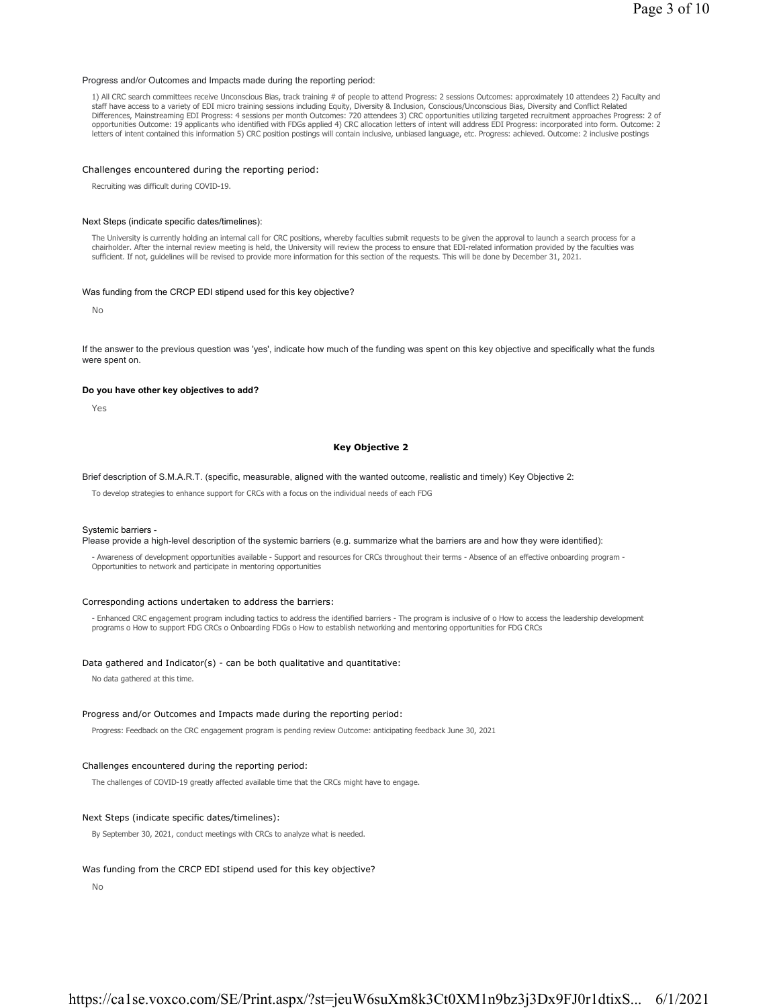### Progress and/or Outcomes and Impacts made during the reporting period:

1) All CRC search committees receive Unconscious Bias, track training # of people to attend Progress: 2 sessions Outcomes: approximately 10 attendees 2) Faculty and staff have access to a variety of EDI micro training sessions including Equity, Diversity & Inclusion, Conscious/Unconscious Bias, Diversity and Conflict Related Differences, Mainstreaming EDI Progress: 4 sessions per month Outcomes: 720 attendees 3) CRC opportunities utilizing targeted recruitment approaches Progress: 2 of opportunities Outcome: 19 applicants who identified with FDGs applied 4) CRC allocation letters of intent will address EDI Progress: incorporated into form. Outcome: 2 letters of intent contained this information 5) CRC position postings will contain inclusive, unbiased language, etc. Progress: achieved. Outcome: 2 inclusive postings

### Challenges encountered during the reporting period:

Recruiting was difficult during COVID-19.

### Next Steps (indicate specific dates/timelines):

The University is currently holding an internal call for CRC positions, whereby faculties submit requests to be given the approval to launch a search process for a chairholder. After the internal review meeting is held, the University will review the process to ensure that EDI-related information provided by the faculties was sufficient. If not, guidelines will be revised to provide more information for this section of the requests. This will be done by December 31, 2021.

### Was funding from the CRCP EDI stipend used for this key objective?

No

If the answer to the previous question was 'yes', indicate how much of the funding was spent on this key objective and specifically what the funds were spent on.

### **Do you have other key objectives to add?**

Yes

# **Key Objective 2**

Brief description of S.M.A.R.T. (specific, measurable, aligned with the wanted outcome, realistic and timely) Key Objective 2:

To develop strategies to enhance support for CRCs with a focus on the individual needs of each FDG

#### Systemic barriers -

Please provide a high-level description of the systemic barriers (e.g. summarize what the barriers are and how they were identified):

- Awareness of development opportunities available - Support and resources for CRCs throughout their terms - Absence of an effective onboarding program - Opportunities to network and participate in mentoring opportunities

#### Corresponding actions undertaken to address the barriers:

- Enhanced CRC engagement program including tactics to address the identified barriers - The program is inclusive of o How to access the leadership development programs o How to support FDG CRCs o Onboarding FDGs o How to establish networking and mentoring opportunities for FDG CRCs

### Data gathered and Indicator(s) - can be both qualitative and quantitative:

No data gathered at this time.

### Progress and/or Outcomes and Impacts made during the reporting period:

Progress: Feedback on the CRC engagement program is pending review Outcome: anticipating feedback June 30, 2021

# Challenges encountered during the reporting period:

The challenges of COVID-19 greatly affected available time that the CRCs might have to engage.

### Next Steps (indicate specific dates/timelines):

By September 30, 2021, conduct meetings with CRCs to analyze what is needed.

### Was funding from the CRCP EDI stipend used for this key objective?

No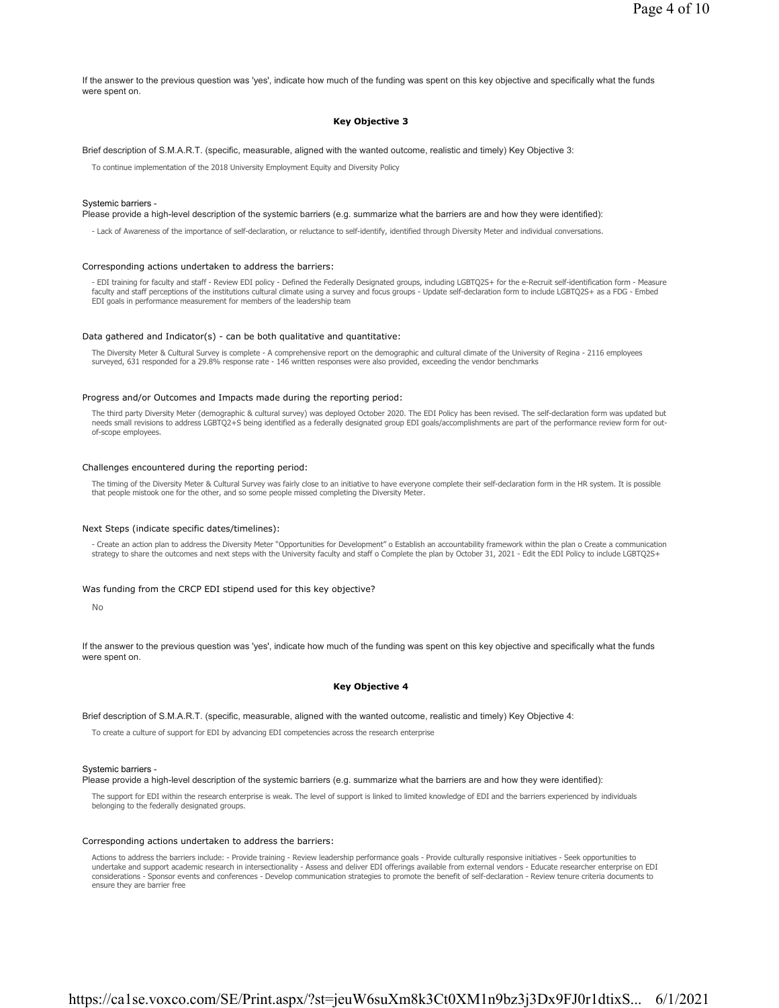If the answer to the previous question was 'yes', indicate how much of the funding was spent on this key objective and specifically what the funds were spent on.

# **Key Objective 3**

Brief description of S.M.A.R.T. (specific, measurable, aligned with the wanted outcome, realistic and timely) Key Objective 3:

To continue implementation of the 2018 University Employment Equity and Diversity Policy

#### Systemic barriers -

Please provide a high-level description of the systemic barriers (e.g. summarize what the barriers are and how they were identified):

- Lack of Awareness of the importance of self-declaration, or reluctance to self-identify, identified through Diversity Meter and individual conversations.

#### Corresponding actions undertaken to address the barriers:

- EDI training for faculty and staff - Review EDI policy - Defined the Federally Designated groups, including LGBTQ2S+ for the e-Recruit self-identification form - Measure faculty and staff perceptions of the institutions cultural climate using a survey and focus groups - Update self-declaration form to include LGBTQ2S+ as a FDG - Embed EDI goals in performance measurement for members of the leadership team

### Data gathered and Indicator(s) - can be both qualitative and quantitative:

The Diversity Meter & Cultural Survey is complete - A comprehensive report on the demographic and cultural climate of the University of Regina - 2116 employees surveyed, 631 responded for a 29.8% response rate - 146 written responses were also provided, exceeding the vendor benchmarks

#### Progress and/or Outcomes and Impacts made during the reporting period:

The third party Diversity Meter (demographic & cultural survey) was deployed October 2020. The EDI Policy has been revised. The self-declaration form was updated but needs small revisions to address LGBTQ2+S being identified as a federally designated group EDI goals/accomplishments are part of the performance review form for outof-scope employees.

### Challenges encountered during the reporting period:

The timing of the Diversity Meter & Cultural Survey was fairly close to an initiative to have everyone complete their self-declaration form in the HR system. It is possible that people mistook one for the other, and so some people missed completing the Diversity Meter.

#### Next Steps (indicate specific dates/timelines):

- Create an action plan to address the Diversity Meter "Opportunities for Development" o Establish an accountability framework within the plan o Create a communication strategy to share the outcomes and next steps with the University faculty and staff o Complete the plan by October 31, 2021 - Edit the EDI Policy to include LGBTQ2S+

### Was funding from the CRCP EDI stipend used for this key objective?

No

If the answer to the previous question was 'yes', indicate how much of the funding was spent on this key objective and specifically what the funds were spent on.

### **Key Objective 4**

Brief description of S.M.A.R.T. (specific, measurable, aligned with the wanted outcome, realistic and timely) Key Objective 4:

To create a culture of support for EDI by advancing EDI competencies across the research enterprise

### Systemic barriers -

Please provide a high-level description of the systemic barriers (e.g. summarize what the barriers are and how they were identified):

The support for EDI within the research enterprise is weak. The level of support is linked to limited knowledge of EDI and the barriers experienced by individuals belonging to the federally designated groups.

#### Corresponding actions undertaken to address the barriers:

Actions to address the barriers include: - Provide training - Review leadership performance goals - Provide culturally responsive initiatives - Seek opportunities to undertake and support academic research in intersectionality - Assess and deliver EDI offerings available from external vendors - Educate researcher enterprise on EDI considerations - Sponsor events and conferences - Develop communication strategies to promote the benefit of self-declaration - Review tenure criteria documents to ensure they are barrier free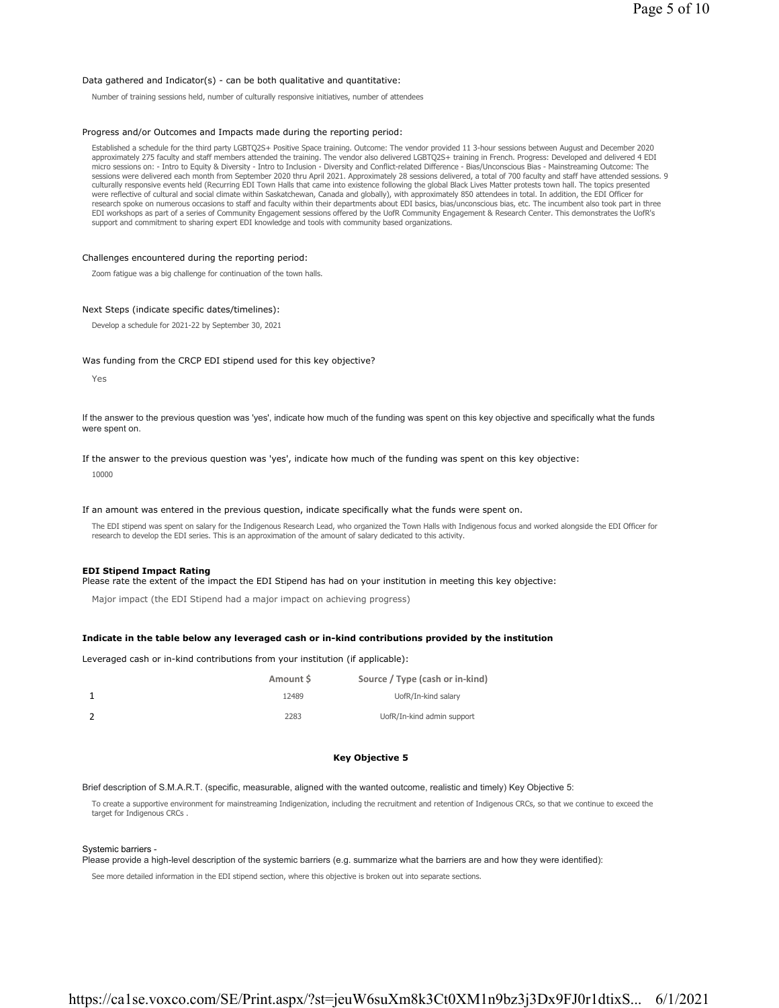### Data gathered and Indicator(s) - can be both qualitative and quantitative:

Number of training sessions held, number of culturally responsive initiatives, number of attendees

### Progress and/or Outcomes and Impacts made during the reporting period:

Established a schedule for the third party LGBTQ2S+ Positive Space training. Outcome: The vendor provided 11 3-hour sessions between August and December 2020 approximately 275 faculty and staff members attended the training. The vendor also delivered LGBTQ2S+ training in French. Progress: Developed and delivered 4 EDI<br>micro sessions on: - Intro to Equity & Diversity - Intro to culturally responsive events held (Recurring EDI Town Halls that came into existence following the global Black Lives Matter protests town hall. The topics presented were reflective of cultural and social climate within Saskatchewan, Canada and globally), with approximately 850 attendees in total. In addition, the EDI Officer for research spoke on numerous occasions to staff and faculty within their departments about EDI basics, bias/unconscious bias, etc. The incumbent also took part in three EDI workshops as part of a series of Community Engagement sessions offered by the UofR Community Engagement & Research Center. This demonstrates the UofR's support and commitment to sharing expert EDI knowledge and tools with community based organizations.

### Challenges encountered during the reporting period:

Zoom fatigue was a big challenge for continuation of the town halls.

### Next Steps (indicate specific dates/timelines):

Develop a schedule for 2021-22 by September 30, 2021

#### Was funding from the CRCP EDI stipend used for this key objective?

Yes

If the answer to the previous question was 'yes', indicate how much of the funding was spent on this key objective and specifically what the funds were spent on.

If the answer to the previous question was 'yes', indicate how much of the funding was spent on this key objective:

10000

### If an amount was entered in the previous question, indicate specifically what the funds were spent on.

The EDI stipend was spent on salary for the Indigenous Research Lead, who organized the Town Halls with Indigenous focus and worked alongside the EDI Officer for research to develop the EDI series. This is an approximation of the amount of salary dedicated to this activity.

### **EDI Stipend Impact Rating**

Please rate the extent of the impact the EDI Stipend has had on your institution in meeting this key objective:

Major impact (the EDI Stipend had a major impact on achieving progress)

### **Indicate in the table below any leveraged cash or in-kind contributions provided by the institution**

Leveraged cash or in-kind contributions from your institution (if applicable):

| Amount S | Source / Type (cash or in-kind) |
|----------|---------------------------------|
| 12489    | UofR/In-kind salary             |
| 2283     | UofR/In-kind admin support      |

### **Key Objective 5**

Brief description of S.M.A.R.T. (specific, measurable, aligned with the wanted outcome, realistic and timely) Key Objective 5:

To create a supportive environment for mainstreaming Indigenization, including the recruitment and retention of Indigenous CRCs, so that we continue to exceed the target for Indigenous CRCs .

### Systemic barriers -

Please provide a high-level description of the systemic barriers (e.g. summarize what the barriers are and how they were identified):

See more detailed information in the EDI stipend section, where this objective is broken out into separate sections.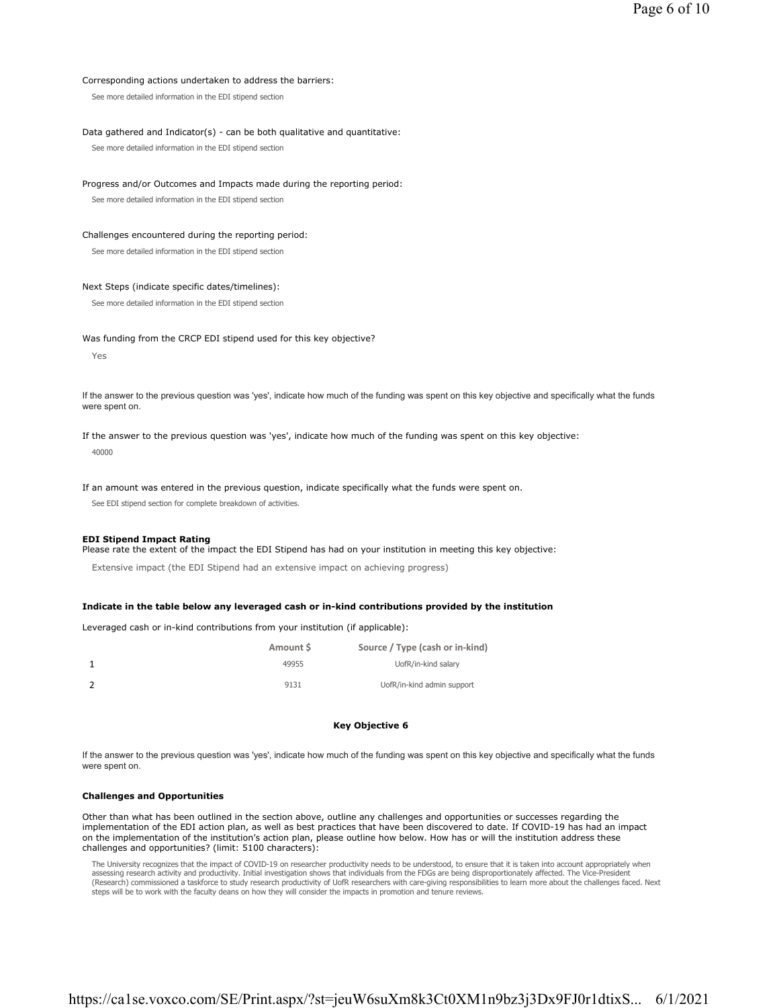### Corresponding actions undertaken to address the barriers:

See more detailed information in the EDI stipend section

### Data gathered and Indicator(s) - can be both qualitative and quantitative:

See more detailed information in the EDI stipend section

### Progress and/or Outcomes and Impacts made during the reporting period:

See more detailed information in the EDI stipend section

### Challenges encountered during the reporting period:

See more detailed information in the EDI stipend section

### Next Steps (indicate specific dates/timelines):

See more detailed information in the EDI stipend section

### Was funding from the CRCP EDI stipend used for this key objective?

Yes

If the answer to the previous question was 'yes', indicate how much of the funding was spent on this key objective and specifically what the funds were spent on.

If the answer to the previous question was 'yes', indicate how much of the funding was spent on this key objective: 40000

### If an amount was entered in the previous question, indicate specifically what the funds were spent on.

See EDI stipend section for complete breakdown of activities.

### **EDI Stipend Impact Rating**

Please rate the extent of the impact the EDI Stipend has had on your institution in meeting this key objective:

Extensive impact (the EDI Stipend had an extensive impact on achieving progress)

### **Indicate in the table below any leveraged cash or in-kind contributions provided by the institution**

Leveraged cash or in-kind contributions from your institution (if applicable):

| Amount S | Source / Type (cash or in-kind) |
|----------|---------------------------------|
| 49955    | UofR/in-kind salary             |
| 9131     | UofR/in-kind admin support      |

# **Key Objective 6**

If the answer to the previous question was 'yes', indicate how much of the funding was spent on this key objective and specifically what the funds were spent on.

# **Challenges and Opportunities**

Other than what has been outlined in the section above, outline any challenges and opportunities or successes regarding the implementation of the EDI action plan, as well as best practices that have been discovered to date. If COVID-19 has had an impact on the implementation of the institution's action plan, please outline how below. How has or will the institution address these challenges and opportunities? (limit: 5100 characters):

The University recognizes that the impact of COVID-19 on researcher productivity needs to be understood, to ensure that it is taken into account appropriately when assessing research activity and productivity. Initial investigation shows that individuals from the FDGs are being disproportionately affected. The Vice-President (Research) commissioned a taskforce to study research productivity of UofR researchers with care-giving responsibilities to learn more about the challenges faced. Next steps will be to work with the faculty deans on how they will consider the impacts in promotion and tenure reviews.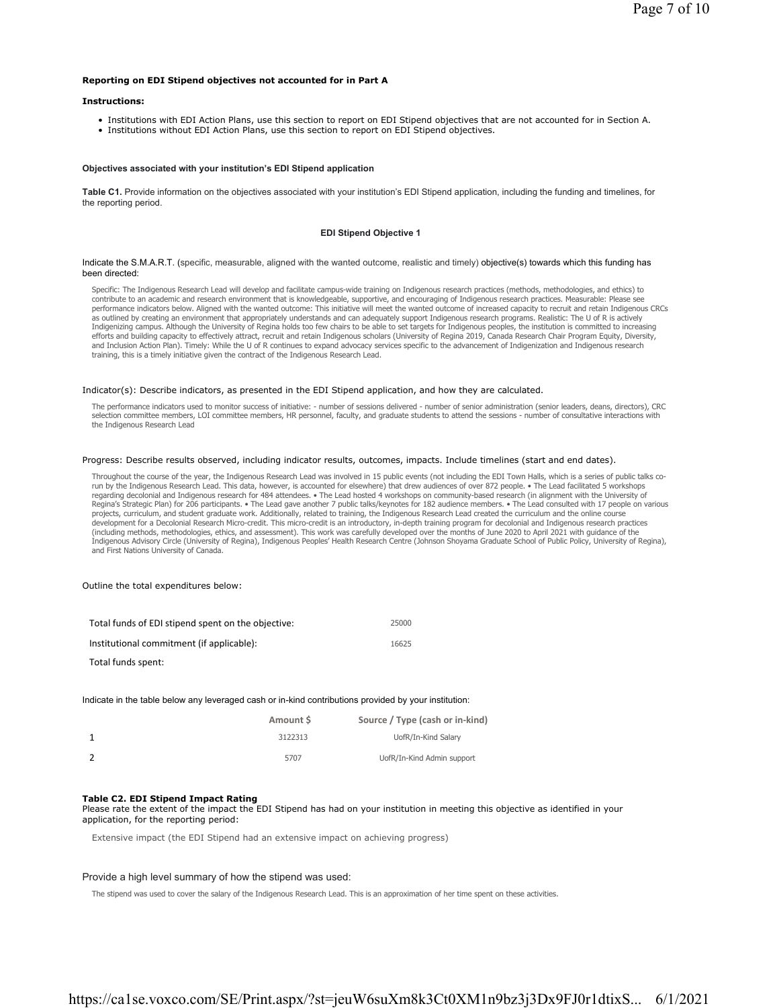### **Reporting on EDI Stipend objectives not accounted for in Part A**

#### **Instructions:**

- Institutions with EDI Action Plans, use this section to report on EDI Stipend objectives that are not accounted for in Section A.
- Institutions without EDI Action Plans, use this section to report on EDI Stipend objectives.

### **Objectives associated with your institution's EDI Stipend application**

**Table C1.** Provide information on the objectives associated with your institution's EDI Stipend application, including the funding and timelines, for the reporting period.

### **EDI Stipend Objective 1**

#### Indicate the S.M.A.R.T. (specific, measurable, aligned with the wanted outcome, realistic and timely) objective(s) towards which this funding has been directed:

Specific: The Indigenous Research Lead will develop and facilitate campus-wide training on Indigenous research practices (methods, methodologies, and ethics) to<br>contribute to an academic and research environment that is kn performance indicators below. Aligned with the wanted outcome: This initiative will meet the wanted outcome of increased capacity to recruit and retain Indigenous CRCs as outlined by creating an environment that appropriately understands and can adequately support Indigenous research programs. Realistic: The U of R is actively Indigenizing campus. Although the University of Regina holds too few chairs to be able to set targets for Indigenous peoples, the institution is committed to increasing<br>efforts and building capacity to effectively attract, and Inclusion Action Plan). Timely: While the U of R continues to expand advocacy services specific to the advancement of Indigenization and Indigenous research training, this is a timely initiative given the contract of the Indigenous Research Lead.

### Indicator(s): Describe indicators, as presented in the EDI Stipend application, and how they are calculated.

The performance indicators used to monitor success of initiative: - number of sessions delivered - number of senior administration (senior leaders, deans, directors), CRC selection committee members, LOI committee members, HR personnel, faculty, and graduate students to attend the sessions - number of consultative interactions with the Indigenous Research Lead

#### Progress: Describe results observed, including indicator results, outcomes, impacts. Include timelines (start and end dates).

Throughout the course of the year, the Indigenous Research Lead was involved in 15 public events (not including the EDI Town Halls, which is a series of public talks corun by the Indigenous Research Lead. This data, however, is accounted for elsewhere) that drew audiences of over 872 people. • The Lead facilitated 5 workshops regarding decolonial and Indigenous research for 484 attendees. • The Lead hosted 4 workshops on community-based research (in alignment with the University of<br>Regina's Strategic Plan) for 206 participants. • The Lead gave projects, curriculum, and student graduate work. Additionally, related to training, the Indigenous Research Lead created the curriculum and the online course development for a Decolonial Research Micro-credit. This micro-credit is an introductory, in-depth training program for decolonial and Indigenous research practices<br>(including methods, methodologies, ethics, and assessment Indigenous Advisory Circle (University of Regina), Indigenous Peoples' Health Research Centre (Johnson Shoyama Graduate School of Public Policy, University of Regina), and First Nations University of Canada.

### Outline the total expenditures below:

| Total funds of EDI stipend spent on the objective: | 25000 |
|----------------------------------------------------|-------|
| Institutional commitment (if applicable):          | 16625 |
| Total funds spent:                                 |       |

Indicate in the table below any leveraged cash or in-kind contributions provided by your institution:

| Amount S | Source / Type (cash or in-kind) |
|----------|---------------------------------|
| 3122313  | UofR/In-Kind Salary             |
| 5707     | UofR/In-Kind Admin support      |

### **Table C2. EDI Stipend Impact Rating**

Please rate the extent of the impact the EDI Stipend has had on your institution in meeting this objective as identified in your application, for the reporting period:

Extensive impact (the EDI Stipend had an extensive impact on achieving progress)

### Provide a high level summary of how the stipend was used:

The stipend was used to cover the salary of the Indigenous Research Lead. This is an approximation of her time spent on these activities.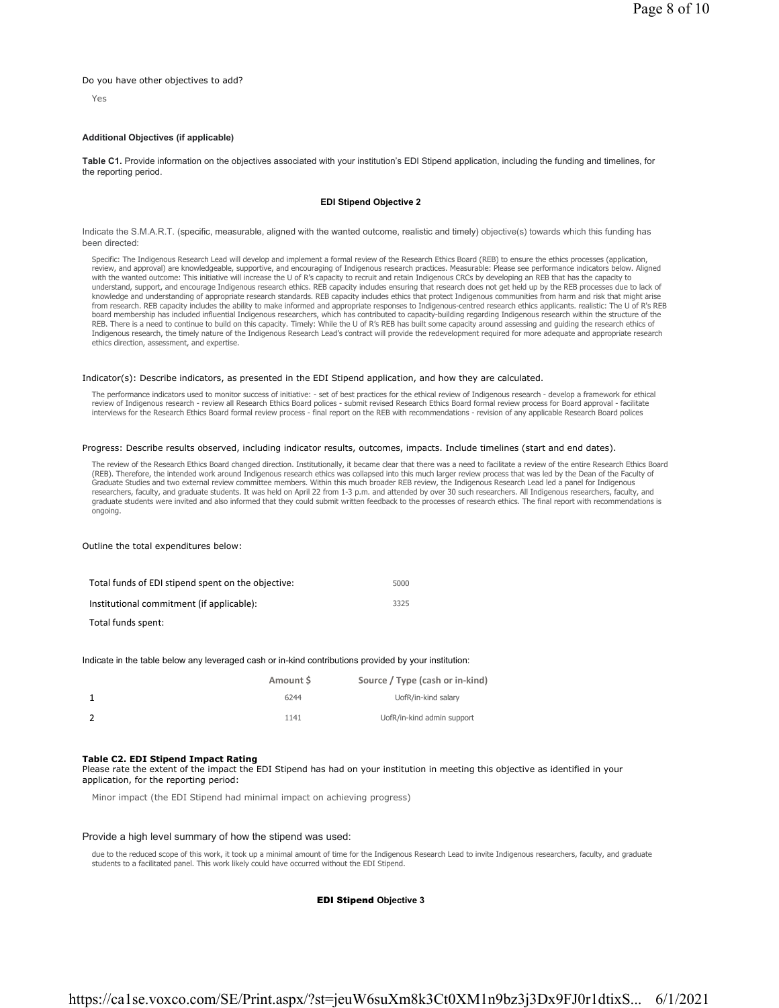### Do you have other objectives to add?

Yes

# **Additional Objectives (if applicable)**

**Table C1.** Provide information on the objectives associated with your institution's EDI Stipend application, including the funding and timelines, for the reporting period.

### **EDI Stipend Objective 2**

Indicate the S.M.A.R.T. (specific, measurable, aligned with the wanted outcome, realistic and timely) objective(s) towards which this funding has been directed:

Specific: The Indigenous Research Lead will develop and implement a formal review of the Research Ethics Board (REB) to ensure the ethics processes (application, review, and approval) are knowledgeable, supportive, and encouraging of Indigenous research practices. Measurable: Please see performance indicators below. Aligned with the wanted outcome: This initiative will increase the U of R's capacity to recruit and retain Indigenous CRCs by developing an REB that has the capacity to understand, support, and encourage Indigenous research ethics. REB capacity includes ensuring that research does not get held up by the REB processes due to lack of knowledge and understanding of appropriate research standards. REB capacity includes ethics that protect Indigenous communities from harm and risk that might arise from research. REB capacity includes the ability to make informed and appropriate responses to Indigenous-centred research ethics applicants. realistic: The U of R's REB board membership has included influential Indigenous researchers, which has contributed to capacity-building regarding Indigenous research within the structure of the REB. There is a need to continue to build on this capacity. Timely: While the U of R's REB has built some capacity around assessing and guiding the research ethics of<br>Indigenous research, the timely nature of the Indigenou ethics direction, assessment, and expertise.

### Indicator(s): Describe indicators, as presented in the EDI Stipend application, and how they are calculated.

The performance indicators used to monitor success of initiative: - set of best practices for the ethical review of Indigenous research - develop a framework for ethical review of Indigenous research - review all Research Ethics Board polices - submit revised Research Ethics Board formal review process for Board approval - facilitate interviews for the Research Ethics Board formal review process - final report on the REB with recommendations - revision of any applicable Research Board polices

### Progress: Describe results observed, including indicator results, outcomes, impacts. Include timelines (start and end dates).

The review of the Research Ethics Board changed direction. Institutionally, it became clear that there was a need to facilitate a review of the entire Research Ethics Board<br>(REB). Therefore, the intended work around Indige Graduate Studies and two external review committee members. Within this much broader REB review, the Indigenous Research Lead led a panel for Indigenous researchers, faculty, and graduate students. It was held on April 22 from 1-3 p.m. and attended by over 30 such researchers. All Indigenous researchers, faculty, and<br>graduate students were invited and also informed that th ongoing.

### Outline the total expenditures below:

| Total funds of EDI stipend spent on the objective: | 5000 |
|----------------------------------------------------|------|
| Institutional commitment (if applicable):          | 3325 |
| _                                                  |      |

Total funds spent:

#### Indicate in the table below any leveraged cash or in-kind contributions provided by your institution:

| Amount S | Source / Type (cash or in-kind) |
|----------|---------------------------------|
| 6244     | UofR/in-kind salary             |
| 1141     | UofR/in-kind admin support      |

#### **Table C2. EDI Stipend Impact Rating**

Please rate the extent of the impact the EDI Stipend has had on your institution in meeting this objective as identified in your application, for the reporting period:

Minor impact (the EDI Stipend had minimal impact on achieving progress)

### Provide a high level summary of how the stipend was used:

due to the reduced scope of this work, it took up a minimal amount of time for the Indigenous Research Lead to invite Indigenous researchers, faculty, and graduate students to a facilitated panel. This work likely could have occurred without the EDI Stipend.

#### EDI Stipend **Objective 3**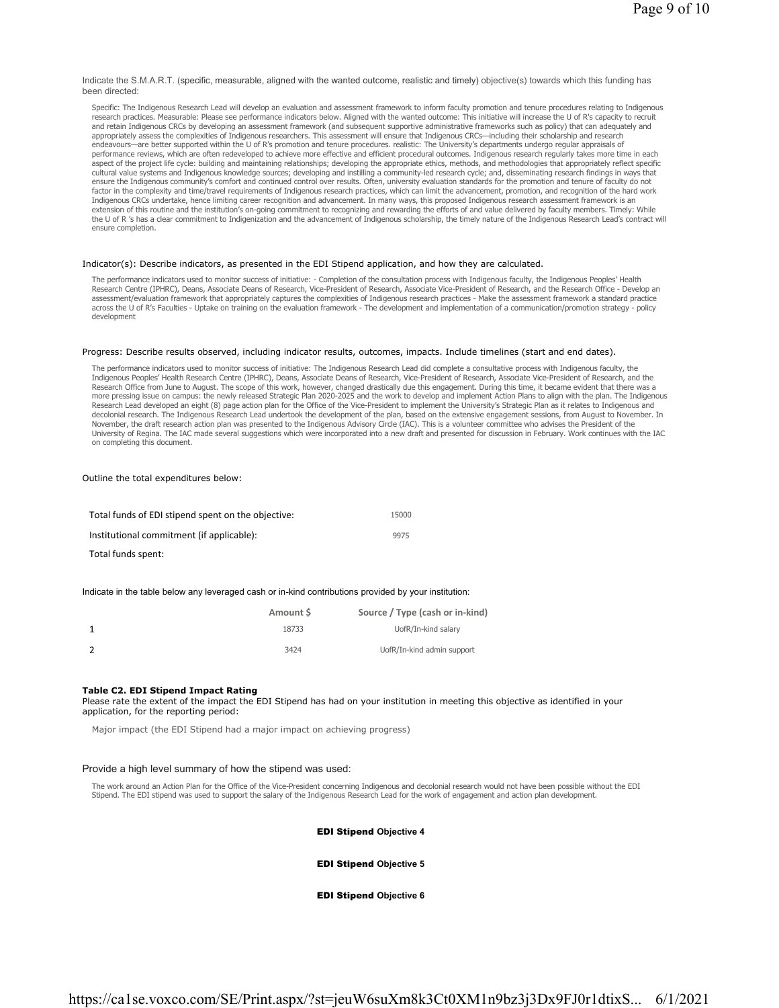Indicate the S.M.A.R.T. (specific, measurable, aligned with the wanted outcome, realistic and timely) objective(s) towards which this funding has been directed:

Specific: The Indigenous Research Lead will develop an evaluation and assessment framework to inform faculty promotion and tenure procedures relating to Indigenous research practices. Measurable: Please see performance indicators below. Aligned with the wanted outcome: This initiative will increase the U of R's capacity to recruit and retain Indigenous CRCs by developing an assessment framework (and subsequent supportive administrative frameworks such as policy) that can adequately and appropriately assess the complexities of Indigenous researchers. This assessment will ensure that Indigenous CRCs—including their scholarship and research endeavours—are better supported within the U of R's promotion and tenure procedures. realistic: The University's departments undergo regular appraisals of performance reviews, which are often redeveloped to achieve more effective and efficient procedural outcomes. Indigenous research regularly takes more time in each aspect of the project life cycle: building and maintaining relationships; developing the appropriate ethics, methods, and methodologies that appropriately reflect specific cultural value systems and Indigenous knowledge sources; developing and instilling a community-led research cycle; and, disseminating research findings in ways that ensure the Indigenous community's comfort and continued control over results. Often, university evaluation standards for the promotion and tenure of faculty do not factor in the complexity and time/travel requirements of Indigenous research practices, which can limit the advancement, promotion, and recognition of the hard work Indigenous CRCs undertake, hence limiting career recognition and advancement. In many ways, this proposed Indigenous research assessment framework is an extension of this routine and the institution's on-going commitment to recognizing and rewarding the efforts of and value delivered by faculty members. Timely: While<br>the U of R 's has a clear commitment to Indigenization a ensure completion.

### Indicator(s): Describe indicators, as presented in the EDI Stipend application, and how they are calculated.

The performance indicators used to monitor success of initiative: - Completion of the consultation process with Indigenous faculty, the Indigenous Peoples' Health Research Centre (IPHRC), Deans, Associate Deans of Research, Vice-President of Research, Associate Vice-President of Research, and the Research Office - Develop an assessment/evaluation framework that appropriately captures the complexities of Indigenous research practices - Make the assessment framework a standard practice across the U of R's Faculties - Uptake on training on the evaluation framework - The development and implementation of a communication/promotion strategy - policy development

### Progress: Describe results observed, including indicator results, outcomes, impacts. Include timelines (start and end dates).

The performance indicators used to monitor success of initiative: The Indigenous Research Lead did complete a consultative process with Indigenous faculty, the Indigenous Peoples' Health Research Centre (IPHRC), Deans, Associate Deans of Research, Vice-President of Research, and the enenth, and the pearch, and the enents, Sascarch, and the pearch, and the enents, Associate Vice-P more pressing issue on campus: the newly released Strategic Plan 2020-2025 and the work to develop and implement Action Plans to align with the plan. The Indigenous Research Lead developed an eight (8) page action plan for the Office of the Vice-President to implement the University's Strategic Plan as it relates to Indigenous and decolonial research. The Indigenous Research Lead undertook the development of the plan, based on the extensive engagement sessions, from August to November. In<br>November, the draft research action plan was presented to the University of Regina. The IAC made several suggestions which were incorporated into a new draft and presented for discussion in February. Work continues with the IAC on completing this document.

Outline the total expenditures below:

| Total funds of EDI stipend spent on the objective: | 15000 |
|----------------------------------------------------|-------|
| Institutional commitment (if applicable):          | 9975  |
| Total funds spent:                                 |       |

#### Indicate in the table below any leveraged cash or in-kind contributions provided by your institution:

| Amount S | Source / Type (cash or in-kind) |
|----------|---------------------------------|
| 18733    | UofR/In-kind salary             |
| 3424     | UofR/In-kind admin support      |

### **Table C2. EDI Stipend Impact Rating**

Please rate the extent of the impact the EDI Stipend has had on your institution in meeting this objective as identified in your application, for the reporting period:

Major impact (the EDI Stipend had a major impact on achieving progress)

### Provide a high level summary of how the stipend was used:

The work around an Action Plan for the Office of the Vice-President concerning Indigenous and decolonial research would not have been possible without the EDI Stipend. The EDI stipend was used to support the salary of the Indigenous Research Lead for the work of engagement and action plan development.

### EDI Stipend **Objective 4**

# EDI Stipend **Objective 5**

### EDI Stipend **Objective 6**